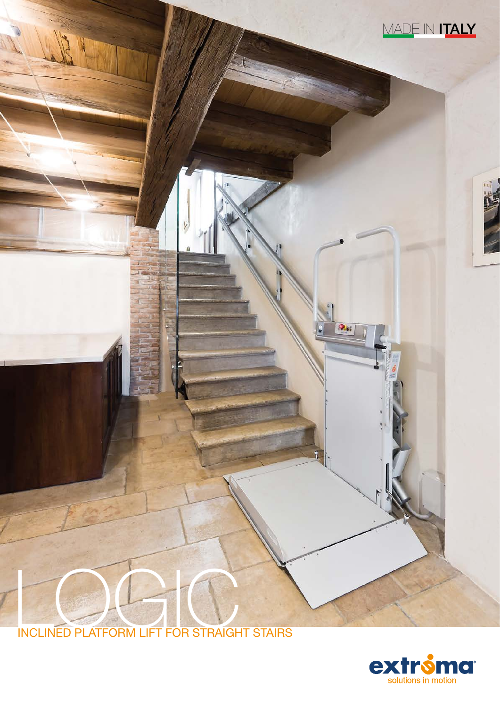

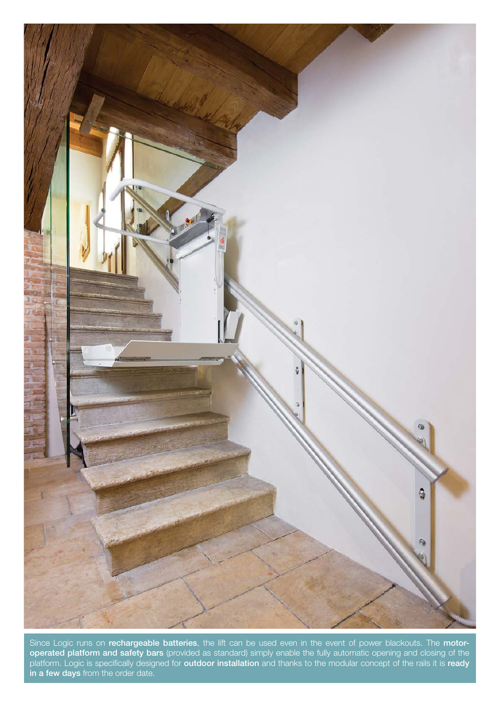

Since Logic runs on rechargeable batteries, the lift can be used even in the event of power blackouts. The motor**operated platform and safety bars** (provided as standard) simply enable the fully automatic opening and closing of the platform. Logic is specifically designed for **outdoor installation** and thanks to the modular concept of the rails it is ready in a few days from the order date.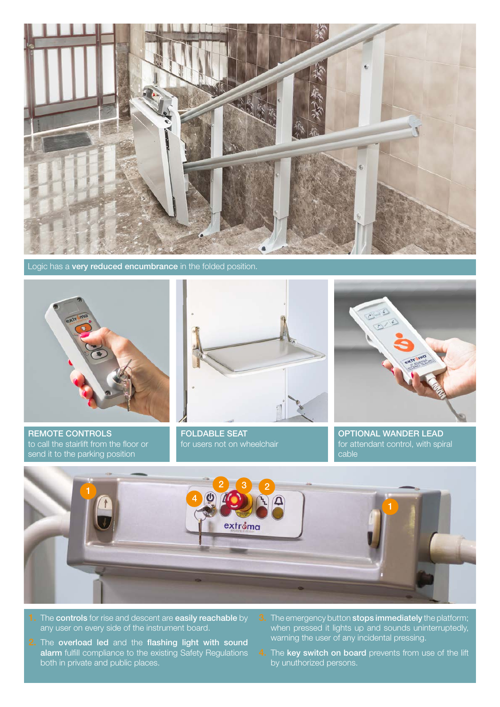

Logic has a very reduced encumbrance in the folded position.



REMOTE CONTROLS to call the stairlift from the floor or send it to the parking position



FOLDABLE SEAT for users not on wheelchair



OPTIONAL WANDER LEAD for attendant control, with spiral cable



- 1. The controls for rise and descent are easily reachable by any user on every side of the instrument board.
- 2. The overload led and the flashing light with sound alarm fulfill compliance to the existing Safety Regulations both in private and public places.
- **3.** The emergency button stops immediately the platform; when pressed it lights up and sounds uninterruptedly, warning the user of any incidental pressing.
- 4. The key switch on board prevents from use of the lift by unuthorized persons.